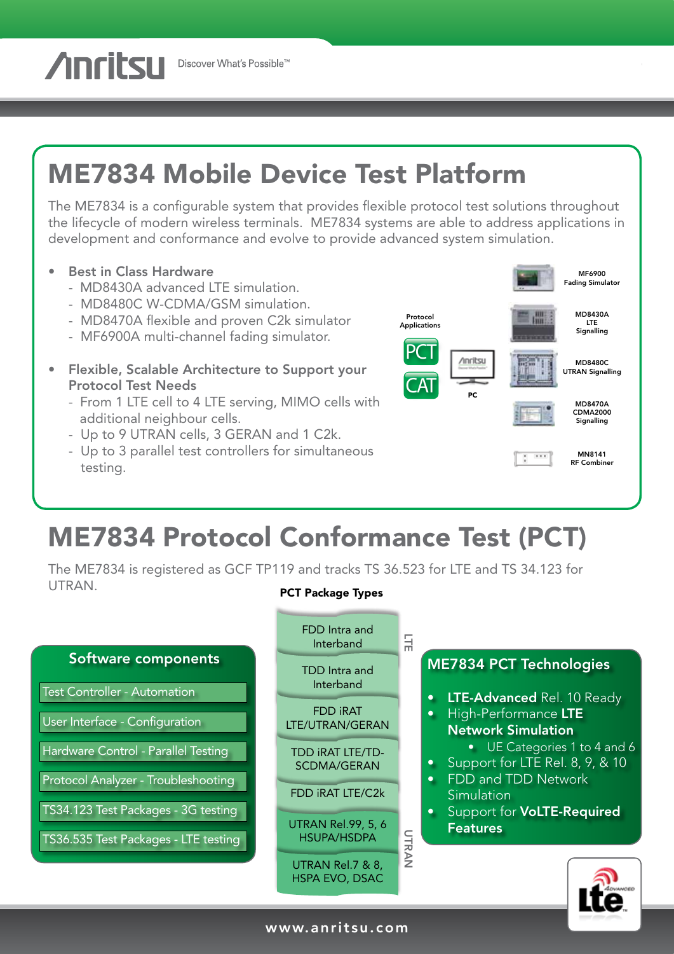**Anritsu** Discover What's Possible™

# ME7834 Mobile Device Test Platform

The ME7834 is a configurable system that provides flexible protocol test solutions throughout the lifecycle of modern wireless terminals. ME7834 systems are able to address applications in development and conformance and evolve to provide advanced system simulation.

- Best in Class Hardware
	- MD8430A advanced LTE simulation.
	- MD8480C W-CDMA/GSM simulation.
	- MD8470A flexible and proven C2k simulator
	- MF6900A multi-channel fading simulator.
- Flexible, Scalable Architecture to Support your Protocol Test Needs
	- From 1 LTE cell to 4 LTE serving, MIMO cells with additional neighbour cells.
	- Up to 9 UTRAN cells, 3 GERAN and 1 C2k.
	- Up to 3 parallel test controllers for simultaneous testing.



### ME7834 Protocol Conformance Test (PCT)

The ME7834 is registered as GCF TP119 and tracks TS 36.523 for LTE and TS 34.123 for UTRAN. PCT Package Types

#### Software components Test Controller - Automation User Interface - Configuration Hardware Control - Parallel Testing Protocol Analyzer - Troubleshooting TS34.123 Test Packages - 3G testing TS36.535 Test Packages - LTE testing LTE UTRAN ME7834 PCT Technologies **• LTE-Advanced Rel. 10 Ready** • High-Performance LTE Network Simulation • UE Categories 1 to 4 and 6 • Support for LTE Rel. 8, 9, & 10 • FDD and TDD Network **Simulation** Support for **VoLTE-Required** Features FDD Intra and Interband TDD Intra and Interband FDD iRAT LTE/UTRAN/GERAN TDD iRAT LTE/TD-SCDMA/GERAN FDD iRAT LTE/C2k UTRAN Rel.99, 5, 6 HSUPA/HSDPA UTRAN Rel.7 & 8, HSPA EVO, DSAC

www.anritsu.com